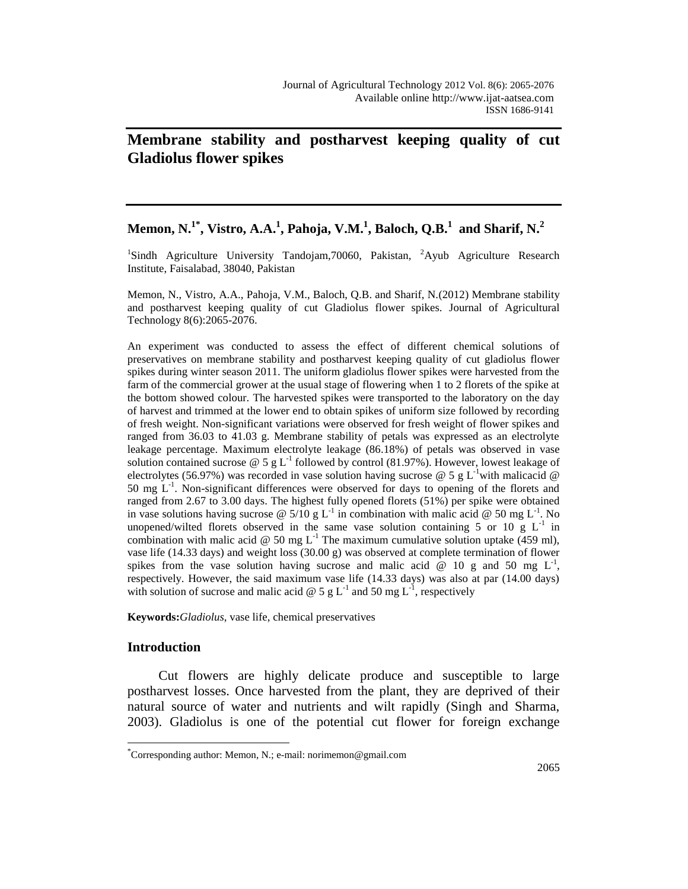# **Membrane stability and postharvest keeping quality of cut Gladiolus flower spikes**

# **Memon, N.1\* , Vistro, A.A.<sup>1</sup> , Pahoja, V.M.<sup>1</sup> , Baloch, Q.B.<sup>1</sup> and Sharif, N.<sup>2</sup>**

<sup>1</sup>Sindh Agriculture University Tandojam, 70060, Pakistan, <sup>2</sup>Ayub Agriculture Research Institute, Faisalabad, 38040, Pakistan

Memon, N., Vistro, A.A., Pahoja, V.M., Baloch, Q.B. and Sharif, N.(2012) Membrane stability and postharvest keeping quality of cut Gladiolus flower spikes. Journal of Agricultural Technology 8(6):2065-2076.

An experiment was conducted to assess the effect of different chemical solutions of preservatives on membrane stability and postharvest keeping quality of cut gladiolus flower spikes during winter season 2011. The uniform gladiolus flower spikes were harvested from the farm of the commercial grower at the usual stage of flowering when 1 to 2 florets of the spike at the bottom showed colour. The harvested spikes were transported to the laboratory on the day of harvest and trimmed at the lower end to obtain spikes of uniform size followed by recording of fresh weight. Non-significant variations were observed for fresh weight of flower spikes and ranged from 36.03 to 41.03 g. Membrane stability of petals was expressed as an electrolyte leakage percentage. Maximum electrolyte leakage (86.18%) of petals was observed in vase solution contained sucrose @ 5 g L<sup>-1</sup> followed by control (81.97%). However, lowest leakage of electrolytes (56.97%) was recorded in vase solution having sucrose @ 5 g L<sup>-1</sup>with malicacid @ 50 mg  $L^{-1}$ . Non-significant differences were observed for days to opening of the florets and ranged from 2.67 to 3.00 days. The highest fully opened florets (51%) per spike were obtained in vase solutions having sucrose @ 5/10 g L<sup>-1</sup> in combination with malic acid @ 50 mg L<sup>-1</sup>. No unopened/wilted florets observed in the same vase solution containing 5 or 10  $g$  L<sup>-1</sup> in combination with malic acid @ 50 mg  $L^{-1}$  The maximum cumulative solution uptake (459 ml), vase life (14.33 days) and weight loss (30.00 g) was observed at complete termination of flower spikes from the vase solution having sucrose and malic acid  $\omega$  10 g and 50 mg L<sup>-1</sup>, respectively. However, the said maximum vase life (14.33 days) was also at par (14.00 days) with solution of sucrose and malic acid @ 5 g L<sup>-1</sup> and 50 mg L<sup>-1</sup>, respectively

**Keywords:***Gladiolus*, vase life, chemical preservatives

# **Introduction**

 $\overline{a}$ 

Cut flowers are highly delicate produce and susceptible to large postharvest losses. Once harvested from the plant, they are deprived of their natural source of water and nutrients and wilt rapidly (Singh and Sharma, 2003). Gladiolus is one of the potential cut flower for foreign exchange

<sup>\*</sup> Corresponding author: Memon, N.; e-mail: norimemon@gmail.com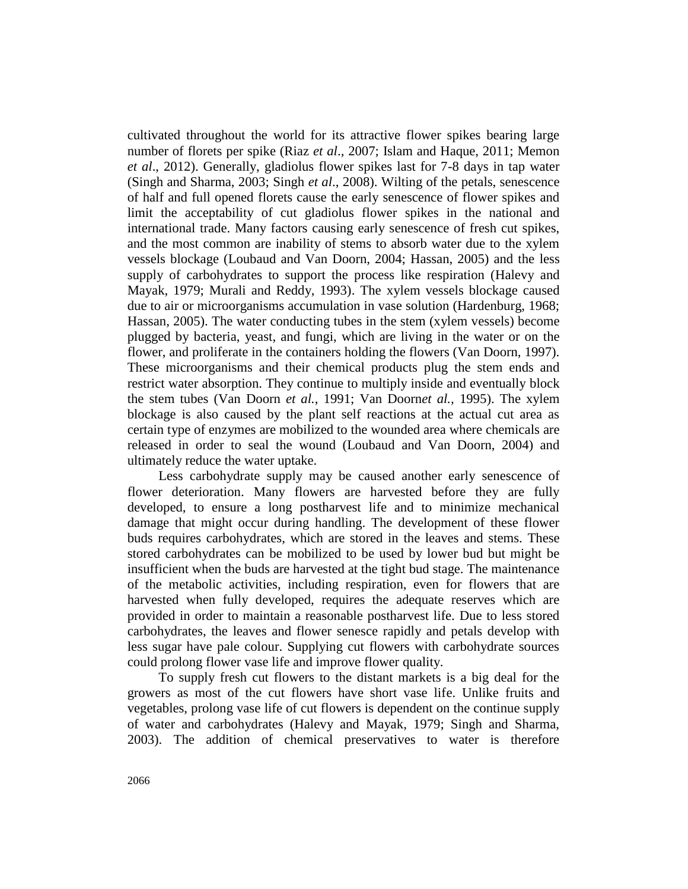cultivated throughout the world for its attractive flower spikes bearing large number of florets per spike (Riaz *et al*., 2007; Islam and Haque, 2011; Memon *et al*., 2012). Generally, gladiolus flower spikes last for 7-8 days in tap water (Singh and Sharma, 2003; Singh *et al*., 2008). Wilting of the petals, senescence of half and full opened florets cause the early senescence of flower spikes and limit the acceptability of cut gladiolus flower spikes in the national and international trade. Many factors causing early senescence of fresh cut spikes, and the most common are inability of stems to absorb water due to the xylem vessels blockage (Loubaud and Van Doorn, 2004; Hassan, 2005) and the less supply of carbohydrates to support the process like respiration (Halevy and Mayak, 1979; Murali and Reddy, 1993). The xylem vessels blockage caused due to air or microorganisms accumulation in vase solution (Hardenburg, 1968; Hassan, 2005). The water conducting tubes in the stem (xylem vessels) become plugged by bacteria, yeast, and fungi, which are living in the water or on the flower, and proliferate in the containers holding the flowers (Van Doorn, 1997). These microorganisms and their chemical products plug the stem ends and restrict water absorption. They continue to multiply inside and eventually block the stem tubes (Van Doorn *et al.*, 1991; Van Doorn*et al.,* 1995). The xylem blockage is also caused by the plant self reactions at the actual cut area as certain type of enzymes are mobilized to the wounded area where chemicals are released in order to seal the wound (Loubaud and Van Doorn, 2004) and ultimately reduce the water uptake.

Less carbohydrate supply may be caused another early senescence of flower deterioration. Many flowers are harvested before they are fully developed, to ensure a long postharvest life and to minimize mechanical damage that might occur during handling. The development of these flower buds requires carbohydrates, which are stored in the leaves and stems. These stored carbohydrates can be mobilized to be used by lower bud but might be insufficient when the buds are harvested at the tight bud stage. The maintenance of the metabolic activities, including respiration, even for flowers that are harvested when fully developed, requires the adequate reserves which are provided in order to maintain a reasonable postharvest life. Due to less stored carbohydrates, the leaves and flower senesce rapidly and petals develop with less sugar have pale colour. Supplying cut flowers with carbohydrate sources could prolong flower vase life and improve flower quality.

To supply fresh cut flowers to the distant markets is a big deal for the growers as most of the cut flowers have short vase life. Unlike fruits and vegetables, prolong vase life of cut flowers is dependent on the continue supply of water and carbohydrates (Halevy and Mayak, 1979; Singh and Sharma, 2003). The addition of chemical preservatives to water is therefore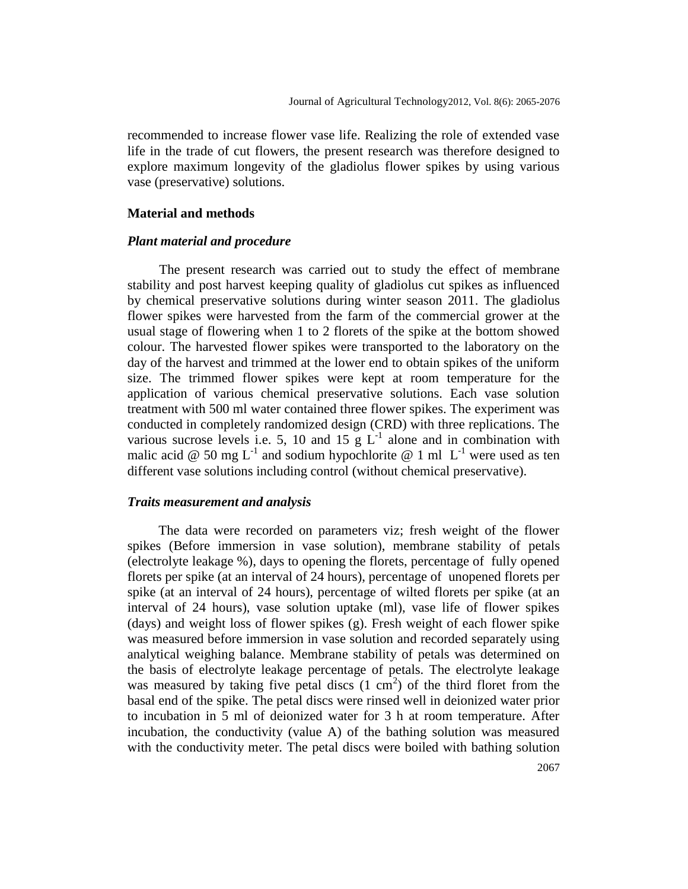recommended to increase flower vase life. Realizing the role of extended vase life in the trade of cut flowers, the present research was therefore designed to explore maximum longevity of the gladiolus flower spikes by using various vase (preservative) solutions.

## **Material and methods**

## *Plant material and procedure*

The present research was carried out to study the effect of membrane stability and post harvest keeping quality of gladiolus cut spikes as influenced by chemical preservative solutions during winter season 2011. The gladiolus flower spikes were harvested from the farm of the commercial grower at the usual stage of flowering when 1 to 2 florets of the spike at the bottom showed colour. The harvested flower spikes were transported to the laboratory on the day of the harvest and trimmed at the lower end to obtain spikes of the uniform size. The trimmed flower spikes were kept at room temperature for the application of various chemical preservative solutions. Each vase solution treatment with 500 ml water contained three flower spikes. The experiment was conducted in completely randomized design (CRD) with three replications. The various sucrose levels i.e. 5, 10 and 15  $g L^{-1}$  alone and in combination with malic acid @ 50 mg L<sup>-1</sup> and sodium hypochlorite @ 1 ml  $L^{-1}$  were used as ten different vase solutions including control (without chemical preservative).

#### *Traits measurement and analysis*

The data were recorded on parameters viz; fresh weight of the flower spikes (Before immersion in vase solution), membrane stability of petals (electrolyte leakage %), days to opening the florets, percentage of fully opened florets per spike (at an interval of 24 hours), percentage of unopened florets per spike (at an interval of 24 hours), percentage of wilted florets per spike (at an interval of 24 hours), vase solution uptake (ml), vase life of flower spikes (days) and weight loss of flower spikes (g). Fresh weight of each flower spike was measured before immersion in vase solution and recorded separately using analytical weighing balance. Membrane stability of petals was determined on the basis of electrolyte leakage percentage of petals. The electrolyte leakage was measured by taking five petal discs  $(1 \text{ cm}^2)$  of the third floret from the basal end of the spike. The petal discs were rinsed well in deionized water prior to incubation in 5 ml of deionized water for 3 h at room temperature. After incubation, the conductivity (value A) of the bathing solution was measured with the conductivity meter. The petal discs were boiled with bathing solution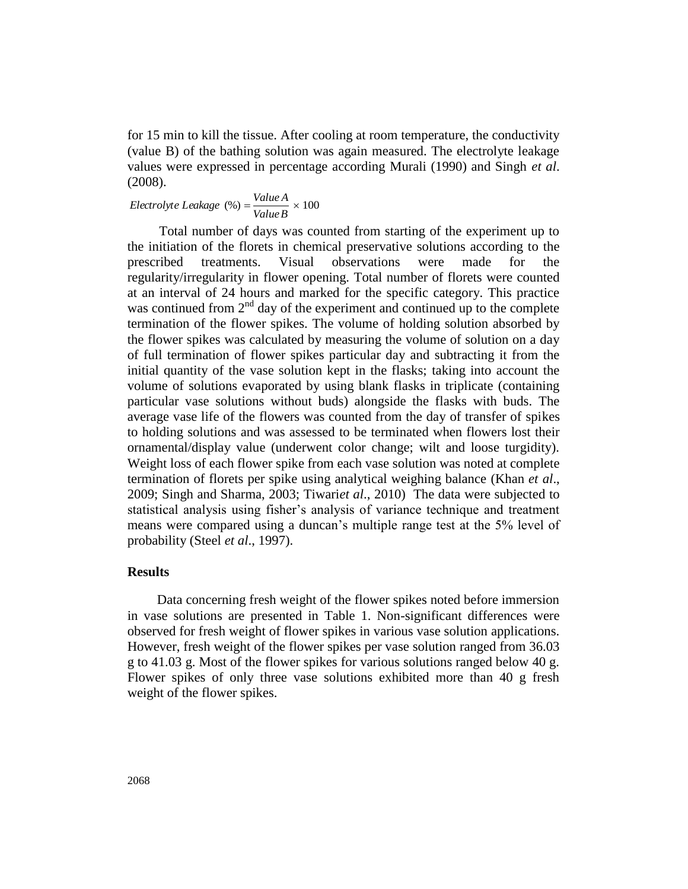for 15 min to kill the tissue. After cooling at room temperature, the conductivity (value B) of the bathing solution was again measured. The electrolyte leakage values were expressed in percentage according Murali (1990) and Singh *et al*. (2008).

 $(\%) = \frac{\text{Value }H}{Value B} \times 100$ *Electrolyte Leakage* (%) =  $\frac{Value A}{Y}$ 

Total number of days was counted from starting of the experiment up to the initiation of the florets in chemical preservative solutions according to the prescribed treatments. Visual observations were made for the regularity/irregularity in flower opening. Total number of florets were counted at an interval of 24 hours and marked for the specific category. This practice was continued from  $2<sup>nd</sup>$  day of the experiment and continued up to the complete termination of the flower spikes. The volume of holding solution absorbed by the flower spikes was calculated by measuring the volume of solution on a day of full termination of flower spikes particular day and subtracting it from the initial quantity of the vase solution kept in the flasks; taking into account the volume of solutions evaporated by using blank flasks in triplicate (containing particular vase solutions without buds) alongside the flasks with buds. The average vase life of the flowers was counted from the day of transfer of spikes to holding solutions and was assessed to be terminated when flowers lost their ornamental/display value (underwent color change; wilt and loose turgidity). Weight loss of each flower spike from each vase solution was noted at complete termination of florets per spike using analytical weighing balance (Khan *et al*., 2009; Singh and Sharma, 2003; Tiwari*et al*., 2010) The data were subjected to statistical analysis using fisher's analysis of variance technique and treatment means were compared using a duncan's multiple range test at the 5% level of probability (Steel *et al*., 1997).

# **Results**

Data concerning fresh weight of the flower spikes noted before immersion in vase solutions are presented in Table 1. Non-significant differences were observed for fresh weight of flower spikes in various vase solution applications. However, fresh weight of the flower spikes per vase solution ranged from 36.03 g to 41.03 g. Most of the flower spikes for various solutions ranged below 40 g. Flower spikes of only three vase solutions exhibited more than 40 g fresh weight of the flower spikes.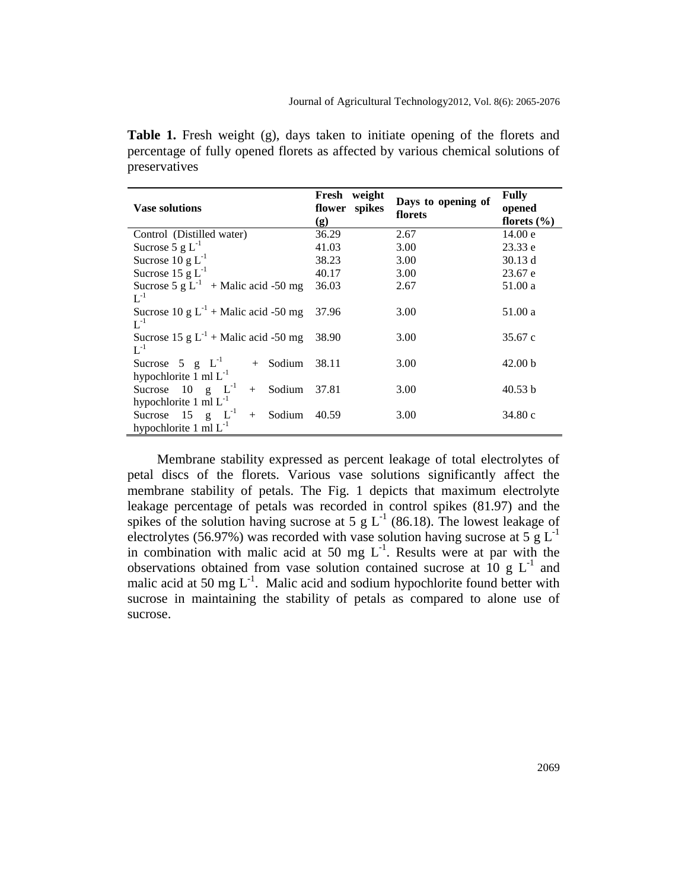**Table 1.** Fresh weight (g), days taken to initiate opening of the florets and percentage of fully opened florets as affected by various chemical solutions of preservatives

|                                             | Fresh<br>weight |                               | <b>Fully</b>       |
|---------------------------------------------|-----------------|-------------------------------|--------------------|
| <b>Vase solutions</b>                       | flower spikes   | Days to opening of<br>florets | opened             |
|                                             | (g)             |                               | florets $(\% )$    |
| Control (Distilled water)                   | 36.29           | 2.67                          | 14.00 e            |
| Sucrose 5 $g L^{-1}$                        | 41.03           | 3.00                          | 23.33 e            |
| Sucrose $10 \text{ g L}^{-1}$               | 38.23           | 3.00                          | 30.13 d            |
| Sucrose 15 g $L^{-1}$                       | 40.17           | 3.00                          | 23.67 e            |
| Sucrose 5 g $L^{-1}$ + Malic acid -50 mg    | 36.03           | 2.67                          | 51.00 a            |
| $L^{-1}$                                    |                 |                               |                    |
| Sucrose 10 g $L^{-1}$ + Malic acid -50 mg   | 37.96           | 3.00                          | 51.00 a            |
| $L^{-1}$                                    |                 |                               |                    |
| Sucrose 15 g $L^{-1}$ + Malic acid -50 mg   | 38.90           | 3.00                          | 35.67c             |
| $L^{-1}$                                    |                 |                               |                    |
| Sucrose 5 $g$ $L^{-1}$<br>Sodium<br>$+$     | 38.11           | 3.00                          | 42.00 <sub>b</sub> |
| hypochlorite 1 ml $L^{-1}$                  |                 |                               |                    |
| Sucrose 10 $g$ $L^{-1}$<br>Sodium<br>$^{+}$ | 37.81           | 3.00                          | 40.53 b            |
| hypochlorite 1 ml $L^{-1}$                  |                 |                               |                    |
| Sucrose $15$ g $L^{-1}$<br>Sodium<br>$+$    | 40.59           | 3.00                          | 34.80c             |
| hypochlorite 1 ml $L^{-1}$                  |                 |                               |                    |
|                                             |                 |                               |                    |

Membrane stability expressed as percent leakage of total electrolytes of petal discs of the florets. Various vase solutions significantly affect the membrane stability of petals. The Fig. 1 depicts that maximum electrolyte leakage percentage of petals was recorded in control spikes (81.97) and the spikes of the solution having sucrose at 5 g  $L^{-1}$  (86.18). The lowest leakage of electrolytes (56.97%) was recorded with vase solution having sucrose at  $5 \text{ g L}^{-1}$ in combination with malic acid at 50 mg  $L^{-1}$ . Results were at par with the observations obtained from vase solution contained sucrose at  $10 \text{ g L}^{-1}$  and malic acid at 50 mg  $L^{-1}$ . Malic acid and sodium hypochlorite found better with sucrose in maintaining the stability of petals as compared to alone use of sucrose.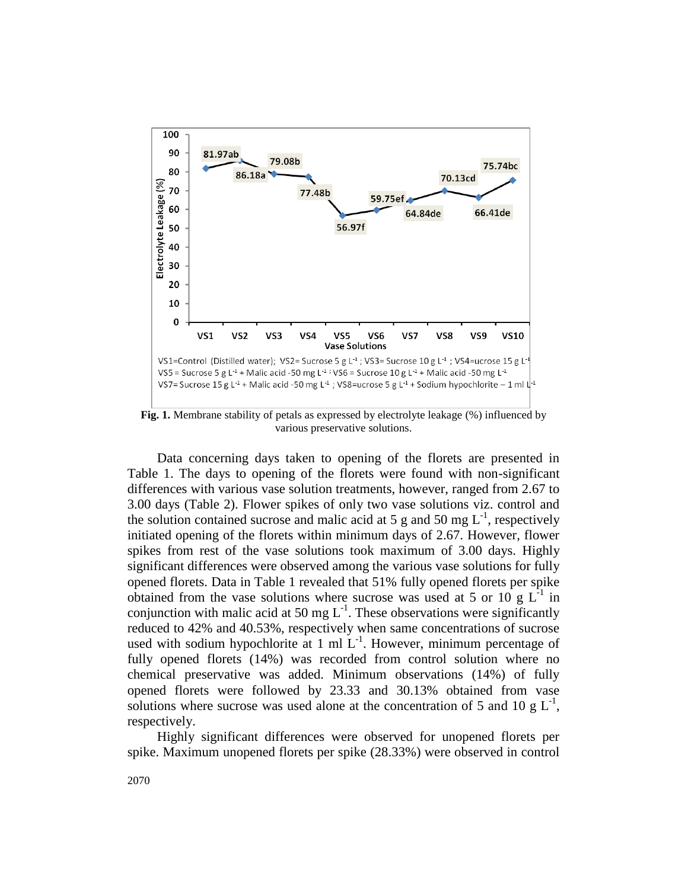

**Fig. 1.** Membrane stability of petals as expressed by electrolyte leakage (%) influenced by various preservative solutions.

Data concerning days taken to opening of the florets are presented in Table 1. The days to opening of the florets were found with non-significant differences with various vase solution treatments, however, ranged from 2.67 to 3.00 days (Table 2). Flower spikes of only two vase solutions viz. control and the solution contained sucrose and malic acid at 5 g and 50 mg  $L^{-1}$ , respectively initiated opening of the florets within minimum days of 2.67. However, flower spikes from rest of the vase solutions took maximum of 3.00 days. Highly significant differences were observed among the various vase solutions for fully opened florets. Data in Table 1 revealed that 51% fully opened florets per spike obtained from the vase solutions where sucrose was used at 5 or 10 g  $L^{-1}$  in conjunction with malic acid at 50 mg  $L^{-1}$ . These observations were significantly reduced to 42% and 40.53%, respectively when same concentrations of sucrose used with sodium hypochlorite at 1 ml  $L^{-1}$ . However, minimum percentage of fully opened florets (14%) was recorded from control solution where no chemical preservative was added. Minimum observations (14%) of fully opened florets were followed by 23.33 and 30.13% obtained from vase solutions where sucrose was used alone at the concentration of 5 and 10 g  $L^{-1}$ , respectively.

Highly significant differences were observed for unopened florets per spike. Maximum unopened florets per spike (28.33%) were observed in control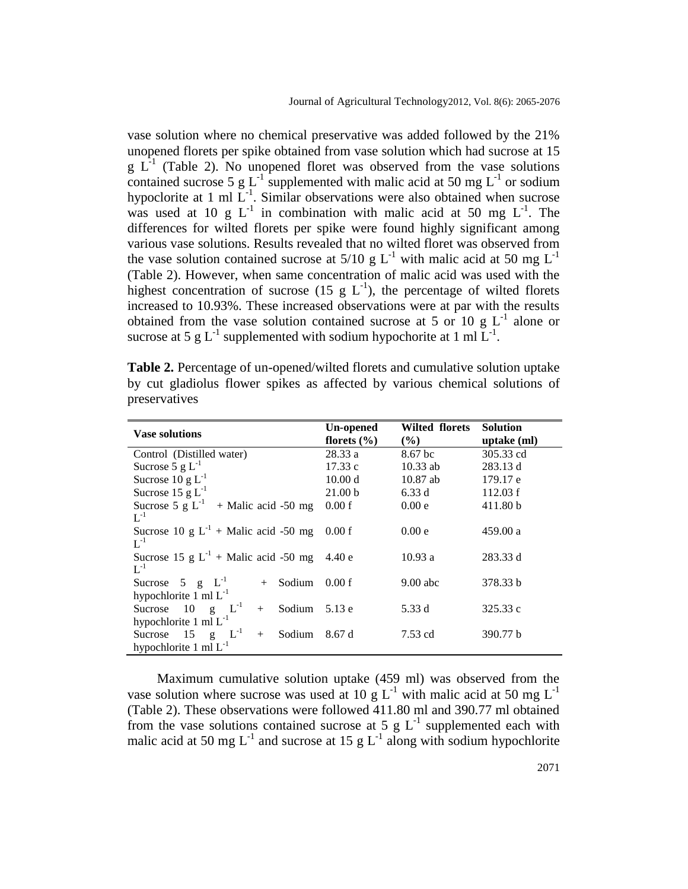vase solution where no chemical preservative was added followed by the 21% unopened florets per spike obtained from vase solution which had sucrose at 15  $g L<sup>-1</sup>$  (Table 2). No unopened floret was observed from the vase solutions contained sucrose 5 g L<sup>-1</sup> supplemented with malic acid at 50 mg L<sup>-1</sup> or sodium hypoclorite at 1 ml  $L^{-1}$ . Similar observations were also obtained when sucrose was used at 10 g  $L^{-1}$  in combination with malic acid at 50 mg  $L^{-1}$ . The differences for wilted florets per spike were found highly significant among various vase solutions. Results revealed that no wilted floret was observed from the vase solution contained sucrose at  $5/10 \text{ g L}^{-1}$  with malic acid at 50 mg L<sup>-1</sup> (Table 2). However, when same concentration of malic acid was used with the highest concentration of sucrose (15 g  $L^{-1}$ ), the percentage of wilted florets increased to 10.93%. These increased observations were at par with the results obtained from the vase solution contained sucrose at 5 or 10 g  $L^{-1}$  alone or sucrose at 5 g L<sup>-1</sup> supplemented with sodium hypochorite at 1 ml  $L^{-1}$ .

**Table 2.** Percentage of un-opened/wilted florets and cumulative solution uptake by cut gladiolus flower spikes as affected by various chemical solutions of preservatives

| <b>Vase solutions</b>                                                              | Un-opened          | <b>Wilted florets</b> | <b>Solution</b> |
|------------------------------------------------------------------------------------|--------------------|-----------------------|-----------------|
|                                                                                    | florets $(\% )$    | $(\%)$                | uptake (ml)     |
| Control (Distilled water)                                                          | 28.33a             | 8.67 <sub>bc</sub>    | 305.33 cd       |
| Sucrose 5 $g L^{-1}$                                                               | 17.33c             | $10.33$ ab            | 283.13 d        |
| Sucrose $10 \text{ g L}^{-1}$                                                      | 10.00 d            | $10.87$ ab            | 179.17 e        |
| Sucrose 15 g $L^{-1}$                                                              | 21.00 <sub>b</sub> | 6.33d                 | 112.03 f        |
| Sucrose 5 g $L^{-1}$ + Malic acid -50 mg<br>$\mathbf{L}^{-1}$                      | 0.00 f             | 0.00 e                | 411.80 b        |
| Sucrose 10 g $L^{-1}$ + Malic acid -50 mg<br>$L^{-1}$                              | 0.00 f             | 0.00e                 | 459.00 a        |
| Sucrose 15 g $L^{-1}$ + Malic acid -50 mg<br>$L^{-1}$                              | 4.40e              | 10.93 a               | 283.33 d        |
| Sucrose 5 $g$ $L^{-1}$<br>Sodium<br>$+$<br>hypochlorite 1 ml $L^{-1}$              | 0.00 f             | $9.00$ abc            | 378.33 b        |
| $g \t L^{-1}$<br>- 10<br>Sodium<br>Sucrose<br>$^{+}$<br>hypochlorite 1 ml $L^{-1}$ | 5.13 e             | 5.33 d                | 325.33 c        |
| 15 g $L^{-1}$<br>Sodium<br>Sucrose<br>$^{+}$<br>hypochlorite 1 ml $L^{-1}$         | 8.67 d             | 7.53 cd               | 390.77 b        |

Maximum cumulative solution uptake (459 ml) was observed from the vase solution where sucrose was used at 10 g  $L^{-1}$  with malic acid at 50 mg  $L^{-1}$ (Table 2). These observations were followed 411.80 ml and 390.77 ml obtained from the vase solutions contained sucrose at 5 g  $L^{-1}$  supplemented each with malic acid at 50 mg  $L^{-1}$  and sucrose at 15 g  $L^{-1}$  along with sodium hypochlorite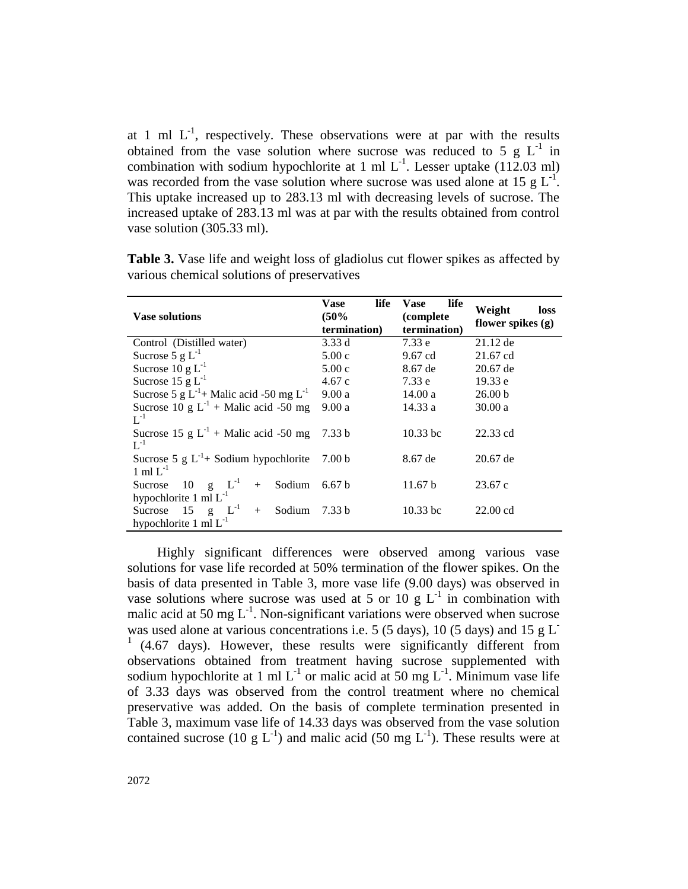at 1 ml  $L^{-1}$ , respectively. These observations were at par with the results obtained from the vase solution where sucrose was reduced to 5  $g L^{-1}$  in combination with sodium hypochlorite at 1 ml  $L^{-1}$ . Lesser uptake (112.03 ml) was recorded from the vase solution where sucrose was used alone at 15  $g L^{-1}$ . This uptake increased up to 283.13 ml with decreasing levels of sucrose. The increased uptake of 283.13 ml was at par with the results obtained from control vase solution (305.33 ml).

| <b>Vase solutions</b>                                                | life<br>Vase<br>(50%<br>termination) | life<br>Vase<br>(complete)<br>termination) | Weight<br>loss<br>flower spikes (g) |
|----------------------------------------------------------------------|--------------------------------------|--------------------------------------------|-------------------------------------|
| Control (Distilled water)                                            | 3.33d                                | 7.33e                                      | $21.12$ de                          |
| Sucrose 5 $g L^{-1}$                                                 | 5.00c                                | $9.67$ cd                                  | $21.67$ cd                          |
| Sucrose 10 g $L^{-1}$                                                | 5.00c                                | 8.67 de                                    | $20.67$ de                          |
| Sucrose 15 g $L^{-1}$                                                | 4.67c                                | 7.33e                                      | 19.33 e                             |
| Sucrose 5 g $L^{-1}$ + Malic acid -50 mg $L^{-1}$                    | 9.00a                                | 14.00 a                                    | 26.00 <sub>b</sub>                  |
| Sucrose 10 g $L^{-1}$ + Malic acid -50 mg<br>$L^{-1}$                | 9.00a                                | 14.33 a                                    | 30.00a                              |
| Sucrose 15 g $L^{-1}$ + Malic acid -50 mg<br>$L^{-1}$                | 7.33 <sub>b</sub>                    | $10.33$ bc                                 | 22.33 cd                            |
| Sucrose 5 g $L^{-1}$ + Sodium hypochlorite<br>$1 \text{ ml } L^{-1}$ | 7.00 <sub>b</sub>                    | 8.67 de                                    | $20.67$ de                          |
| $g \quad L^{-1}$<br>10<br>Sodium<br>Sucrose<br>$+$                   | 6.67 <sub>b</sub>                    | 11.67 b                                    | 23.67c                              |
| hypochlorite 1 ml $L^{-1}$                                           |                                      |                                            |                                     |
| g $L^{-1}$<br>15<br>Sodium<br>Sucrose<br>$+$                         | 7.33 b                               | $10.33$ bc                                 | $22.00 \text{ cd}$                  |
| hypochlorite $1 \text{ ml } L^{-1}$                                  |                                      |                                            |                                     |

**Table 3.** Vase life and weight loss of gladiolus cut flower spikes as affected by various chemical solutions of preservatives

Highly significant differences were observed among various vase solutions for vase life recorded at 50% termination of the flower spikes. On the basis of data presented in Table 3, more vase life (9.00 days) was observed in vase solutions where sucrose was used at 5 or 10 g  $L^{-1}$  in combination with malic acid at 50 mg  $L^{-1}$ . Non-significant variations were observed when sucrose was used alone at various concentrations i.e. 5 (5 days), 10 (5 days) and 15 g  $L^-$ <sup>1</sup>(4.67 days). However, these results were significantly different from observations obtained from treatment having sucrose supplemented with sodium hypochlorite at 1 ml  $L^{-1}$  or malic acid at 50 mg  $L^{-1}$ . Minimum vase life of 3.33 days was observed from the control treatment where no chemical preservative was added. On the basis of complete termination presented in Table 3, maximum vase life of 14.33 days was observed from the vase solution contained sucrose (10 g  $L^{-1}$ ) and malic acid (50 mg  $L^{-1}$ ). These results were at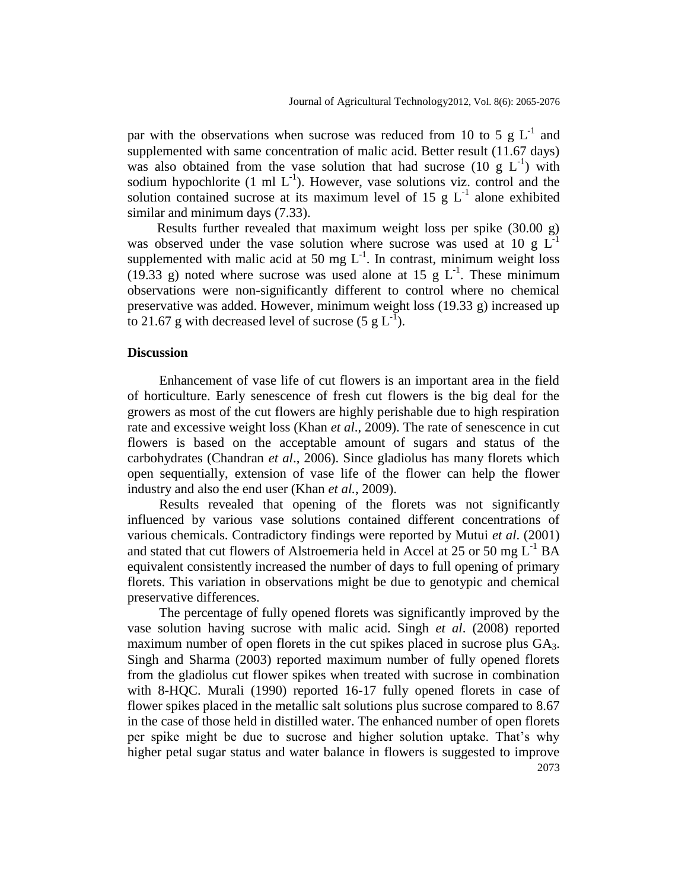par with the observations when sucrose was reduced from 10 to 5  $g L^{-1}$  and supplemented with same concentration of malic acid. Better result (11.67 days) was also obtained from the vase solution that had sucrose (10  $g L^{-1}$ ) with sodium hypochlorite  $(1 \text{ ml } L^{-1})$ . However, vase solutions viz. control and the solution contained sucrose at its maximum level of 15 g  $L^{-1}$  alone exhibited similar and minimum days (7.33).

Results further revealed that maximum weight loss per spike (30.00 g) was observed under the vase solution where sucrose was used at 10 g L<sup>-1</sup> supplemented with malic acid at 50 mg  $L^{-1}$ . In contrast, minimum weight loss (19.33 g) noted where sucrose was used alone at 15 g  $L^{-1}$ . These minimum observations were non-significantly different to control where no chemical preservative was added. However, minimum weight loss (19.33 g) increased up to 21.67 g with decreased level of sucrose  $(5 \text{ g L}^{-1})$ .

#### **Discussion**

Enhancement of vase life of cut flowers is an important area in the field of horticulture. Early senescence of fresh cut flowers is the big deal for the growers as most of the cut flowers are highly perishable due to high respiration rate and excessive weight loss (Khan *et al*., 2009). The rate of senescence in cut flowers is based on the acceptable amount of sugars and status of the carbohydrates (Chandran *et al*., 2006). Since gladiolus has many florets which open sequentially, extension of vase life of the flower can help the flower industry and also the end user (Khan *et al.*, 2009).

Results revealed that opening of the florets was not significantly influenced by various vase solutions contained different concentrations of various chemicals. Contradictory findings were reported by Mutui *et al*. (2001) and stated that cut flowers of Alstroemeria held in Accel at  $25$  or  $50$  mg  $L^{-1}$  BA equivalent consistently increased the number of days to full opening of primary florets. This variation in observations might be due to genotypic and chemical preservative differences.

2073 The percentage of fully opened florets was significantly improved by the vase solution having sucrose with malic acid. Singh *et al*. (2008) reported maximum number of open florets in the cut spikes placed in sucrose plus GA3. Singh and Sharma (2003) reported maximum number of fully opened florets from the gladiolus cut flower spikes when treated with sucrose in combination with 8-HQC. Murali (1990) reported 16-17 fully opened florets in case of flower spikes placed in the metallic salt solutions plus sucrose compared to 8.67 in the case of those held in distilled water. The enhanced number of open florets per spike might be due to sucrose and higher solution uptake. That's why higher petal sugar status and water balance in flowers is suggested to improve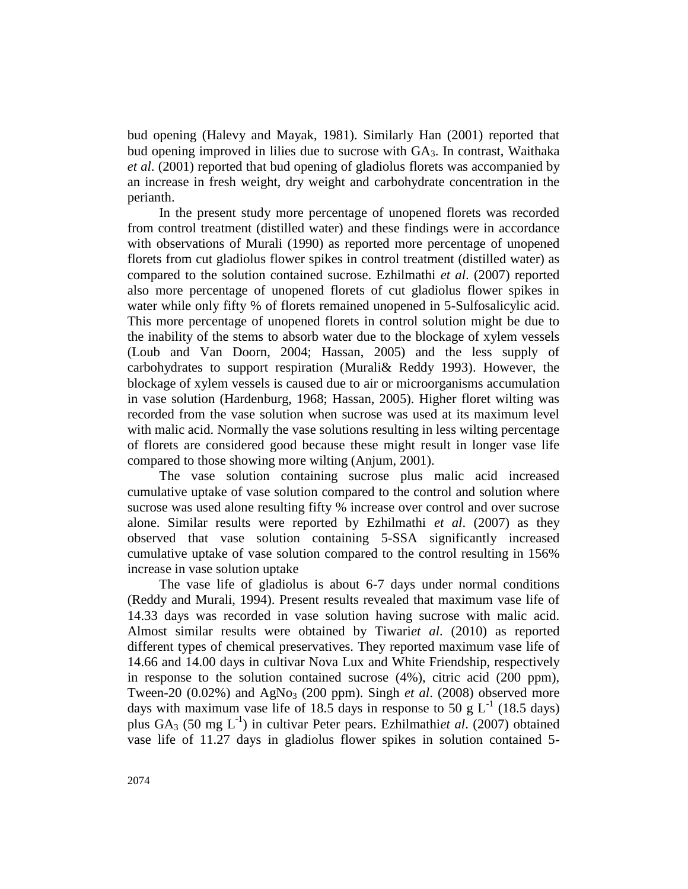bud opening (Halevy and Mayak, 1981). Similarly Han (2001) reported that bud opening improved in lilies due to sucrose with  $GA<sub>3</sub>$ . In contrast, Waithaka *et al*. (2001) reported that bud opening of gladiolus florets was accompanied by an increase in fresh weight, dry weight and carbohydrate concentration in the perianth.

In the present study more percentage of unopened florets was recorded from control treatment (distilled water) and these findings were in accordance with observations of Murali (1990) as reported more percentage of unopened florets from cut gladiolus flower spikes in control treatment (distilled water) as compared to the solution contained sucrose. Ezhilmathi *et al*. (2007) reported also more percentage of unopened florets of cut gladiolus flower spikes in water while only fifty % of florets remained unopened in 5-Sulfosalicylic acid. This more percentage of unopened florets in control solution might be due to the inability of the stems to absorb water due to the blockage of xylem vessels (Loub and Van Doorn, 2004; Hassan, 2005) and the less supply of carbohydrates to support respiration (Murali& Reddy 1993). However, the blockage of xylem vessels is caused due to air or microorganisms accumulation in vase solution (Hardenburg, 1968; Hassan, 2005). Higher floret wilting was recorded from the vase solution when sucrose was used at its maximum level with malic acid. Normally the vase solutions resulting in less wilting percentage of florets are considered good because these might result in longer vase life compared to those showing more wilting (Anjum, 2001).

The vase solution containing sucrose plus malic acid increased cumulative uptake of vase solution compared to the control and solution where sucrose was used alone resulting fifty % increase over control and over sucrose alone. Similar results were reported by Ezhilmathi *et al*. (2007) as they observed that vase solution containing 5-SSA significantly increased cumulative uptake of vase solution compared to the control resulting in 156% increase in vase solution uptake

The vase life of gladiolus is about 6-7 days under normal conditions (Reddy and Murali, 1994). Present results revealed that maximum vase life of 14.33 days was recorded in vase solution having sucrose with malic acid. Almost similar results were obtained by Tiwari*et al*. (2010) as reported different types of chemical preservatives. They reported maximum vase life of 14.66 and 14.00 days in cultivar Nova Lux and White Friendship, respectively in response to the solution contained sucrose  $(4%)$ , citric acid  $(200 \text{ ppm})$ , Tween-20  $(0.02\%)$  and AgNo<sub>3</sub> (200 ppm). Singh *et al.* (2008) observed more days with maximum vase life of 18.5 days in response to 50 g  $L^{-1}$  (18.5 days) plus GA<sub>3</sub> (50 mg L<sup>-1</sup>) in cultivar Peter pears. Ezhilmathiet al. (2007) obtained vase life of 11.27 days in gladiolus flower spikes in solution contained 5-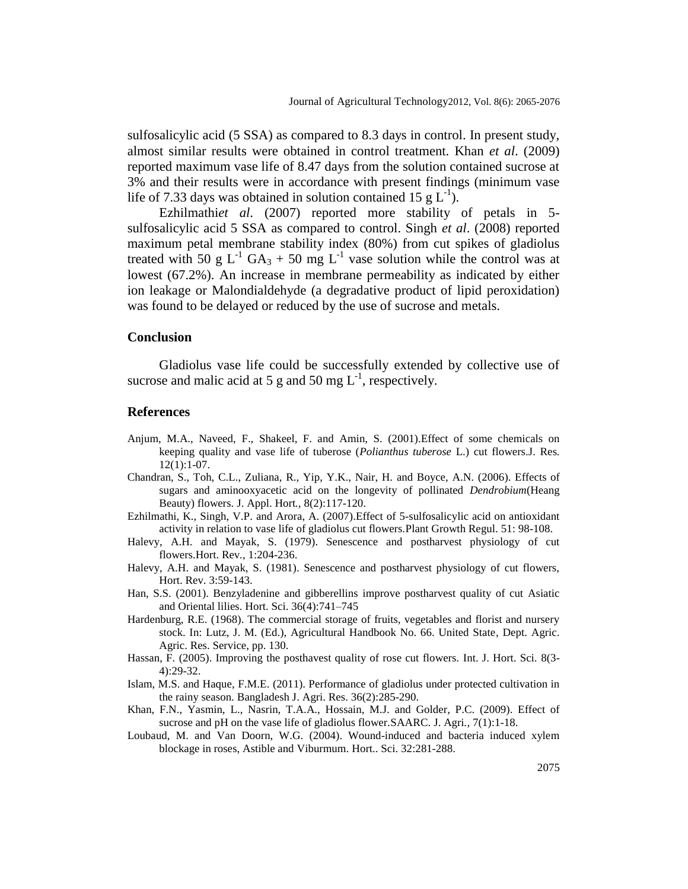sulfosalicylic acid (5 SSA) as compared to 8.3 days in control. In present study, almost similar results were obtained in control treatment. Khan *et al*. (2009) reported maximum vase life of 8.47 days from the solution contained sucrose at 3% and their results were in accordance with present findings (minimum vase life of 7.33 days was obtained in solution contained 15  $g L^{-1}$ ).

Ezhilmathi*et al*. (2007) reported more stability of petals in 5 sulfosalicylic acid 5 SSA as compared to control. Singh *et al*. (2008) reported maximum petal membrane stability index (80%) from cut spikes of gladiolus treated with 50 g L<sup>-1</sup> GA<sub>3</sub> + 50 mg L<sup>-1</sup> vase solution while the control was at lowest (67.2%). An increase in membrane permeability as indicated by either ion leakage or Malondialdehyde (a degradative product of lipid peroxidation) was found to be delayed or reduced by the use of sucrose and metals.

#### **Conclusion**

Gladiolus vase life could be successfully extended by collective use of sucrose and malic acid at 5 g and 50 mg  $L^{-1}$ , respectively.

#### **References**

- Anjum, M.A., Naveed, F., Shakeel, F. and Amin, S. (2001).Effect of some chemicals on keeping quality and vase life of tuberose (*Polianthus tuberose* L.) cut flowers.J. Res*.*  12(1):1-07.
- Chandran, S., Toh, C.L., Zuliana, R., Yip, Y.K., Nair, H. and Boyce, A.N. (2006). Effects of sugars and aminooxyacetic acid on the longevity of pollinated *Dendrobium*(Heang Beauty) flowers. J. Appl. Hort*.,* 8(2):117-120.
- Ezhilmathi, K., Singh, V.P. and Arora, A. (2007).Effect of 5-sulfosalicylic acid on antioxidant activity in relation to vase life of gladiolus cut flowers.Plant Growth Regul. 51: 98-108.
- Halevy, A.H. and Mayak, S. (1979). Senescence and postharvest physiology of cut flowers.Hort. Rev*.*, 1:204-236.
- Halevy, A.H. and Mayak, S. (1981). Senescence and postharvest physiology of cut flowers, Hort. Rev. 3:59-143.
- Han, S.S. (2001). Benzyladenine and gibberellins improve postharvest quality of cut Asiatic and Oriental lilies. Hort. Sci. 36(4):741–745
- Hardenburg, R.E. (1968). The commercial storage of fruits, vegetables and florist and nursery stock. In: Lutz, J. M. (Ed.), Agricultural Handbook No. 66. United State, Dept. Agric. Agric. Res. Service, pp. 130.
- Hassan, F. (2005). Improving the posthavest quality of rose cut flowers. Int. J. Hort. Sci*.* 8(3- 4):29-32.
- Islam, M.S. and Haque, F.M.E. (2011). Performance of gladiolus under protected cultivation in the rainy season. Bangladesh J. Agri. Res. 36(2):285-290.
- Khan, F.N., Yasmin, L., Nasrin, T.A.A., Hossain, M.J. and Golder, P.C. (2009). Effect of sucrose and pH on the vase life of gladiolus flower.SAARC. J. Agri*.,* 7(1):1-18.
- Loubaud, M. and Van Doorn, W.G. (2004). Wound-induced and bacteria induced xylem blockage in roses, Astible and Viburmum. Hort.. Sci. 32:281-288.